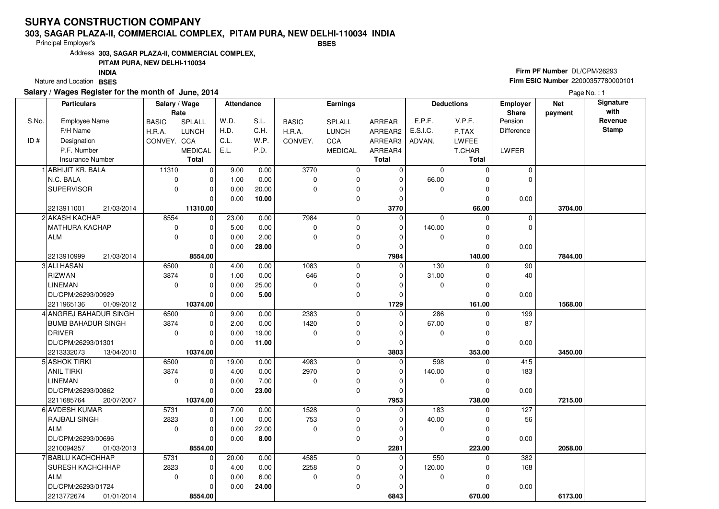#### **303, SAGAR PLAZA-II, COMMERCIAL COMPLEX, PITAM PURA, NEW DELHI-110034 INDIABSES**

Principal Employer's

Address**303, SAGAR PLAZA-II, COMMERCIAL COMPLEX,**

## **PITAM PURA, NEW DELHI-110034**

Nature and Location BSES **INDIA**

## **Salary / Wages Register for the month of June, 2014**

## **Firm PF Number** DL/CPM/26293 **Firm ESIC Number** 22000357780000101

|       | <b>Particulars</b>        | Salary / Wage<br>Rate |                | Attendance |       |              | Earnings       |              |             | <b>Deductions</b> | Employer<br>Share | <b>Net</b><br>payment | Signature<br>with |
|-------|---------------------------|-----------------------|----------------|------------|-------|--------------|----------------|--------------|-------------|-------------------|-------------------|-----------------------|-------------------|
| S.No. | <b>Employee Name</b>      | <b>BASIC</b>          | SPLALL         | W.D.       | S.L.  | <b>BASIC</b> | SPLALL         | ARREAR       | E.P.F.      | V.P.F.            | Pension           |                       | Revenue           |
|       | F/H Name                  | H.R.A.                | <b>LUNCH</b>   | H.D.       | C.H.  | H.R.A.       | <b>LUNCH</b>   | ARREAR2      | E.S.I.C.    | P.TAX             | <b>Difference</b> |                       | <b>Stamp</b>      |
| ID#   | Designation               | CONVEY. CCA           |                | C.L.       | W.P.  | CONVEY.      | CCA            | ARREAR3      | ADVAN.      | <b>LWFEE</b>      |                   |                       |                   |
|       | P.F. Number               |                       | <b>MEDICAL</b> | E.L.       | P.D.  |              | <b>MEDICAL</b> | ARREAR4      |             | T.CHAR            | LWFER             |                       |                   |
|       | Insurance Number          |                       | <b>Total</b>   |            |       |              |                | <b>Total</b> |             | <b>Total</b>      |                   |                       |                   |
|       | <b>ABHIJIT KR. BALA</b>   | 11310                 | $\overline{0}$ | 9.00       | 0.00  | 3770         | 0              | $\mathbf 0$  | $\mathbf 0$ | $\Omega$          | $\mathbf 0$       |                       |                   |
|       | N.C. BALA                 | 0                     | $\mathbf 0$    | 1.00       | 0.00  | $\mathbf 0$  | 0              | $\Omega$     | 66.00       | C                 | $\mathbf 0$       |                       |                   |
|       | <b>SUPERVISOR</b>         | 0                     | $\mathbf 0$    | 0.00       | 20.00 | $\Omega$     | 0              | $\Omega$     | $\Omega$    | $\Omega$          |                   |                       |                   |
|       |                           |                       | $\Omega$       | 0.00       | 10.00 |              | 0              | $\Omega$     |             | C                 | 0.00              |                       |                   |
|       | 2213911001<br>21/03/2014  |                       | 11310.00       |            |       |              |                | 3770         |             | 66.00             |                   | 3704.00               |                   |
|       | 2 AKASH KACHAP            | 8554                  | $\overline{0}$ | 23.00      | 0.00  | 7984         | 0              | $\Omega$     | $\mathbf 0$ | $\Omega$          | $\mathbf 0$       |                       |                   |
|       | MATHURA KACHAP            | $\mathbf 0$           | $\mathbf 0$    | 5.00       | 0.00  | $\mathbf 0$  | 0              | $\Omega$     | 140.00      | O                 | $\Omega$          |                       |                   |
|       | <b>ALM</b>                | $\mathbf 0$           | $\mathbf 0$    | 0.00       | 2.00  | $\Omega$     | 0              | $\Omega$     | $\mathbf 0$ |                   |                   |                       |                   |
|       |                           |                       | $\Omega$       | 0.00       | 28.00 |              | 0              | $\Omega$     |             | $\Omega$          | 0.00              |                       |                   |
|       | 2213910999<br>21/03/2014  |                       | 8554.00        |            |       |              |                | 7984         |             | 140.00            |                   | 7844.00               |                   |
|       | 3 ALI HASAN               | 6500                  | $\mathbf 0$    | 4.00       | 0.00  | 1083         | 0              | $\mathbf 0$  | 130         | $\Omega$          | 90                |                       |                   |
|       | <b>RIZWAN</b>             | 3874                  | $\mathbf 0$    | 1.00       | 0.00  | 646          | 0              | $\Omega$     | 31.00       | $\mathcal{C}$     | 40                |                       |                   |
|       | <b>LINEMAN</b>            | $\mathbf 0$           | $\mathbf 0$    | 0.00       | 25.00 | $\Omega$     | 0              | $\Omega$     | $\mathbf 0$ | $\Omega$          |                   |                       |                   |
|       | DL/CPM/26293/00929        |                       | $\Omega$       | 0.00       | 5.00  |              | 0              | $\Omega$     |             | $\mathcal{C}$     | 0.00              |                       |                   |
|       | 2211965136<br>01/09/2012  |                       | 10374.00       |            |       |              |                | 1729         |             | 161.00            |                   | 1568.00               |                   |
|       | 4 ANGREJ BAHADUR SINGH    | 6500                  | $\mathbf 0$    | 9.00       | 0.00  | 2383         | 0              | $\Omega$     | 286         | $\Omega$          | 199               |                       |                   |
|       | <b>BUMB BAHADUR SINGH</b> | 3874                  | $\mathbf 0$    | 2.00       | 0.00  | 1420         | 0              | $\Omega$     | 67.00       | O                 | 87                |                       |                   |
|       | <b>DRIVER</b>             | 0                     | $\mathbf 0$    | 0.00       | 19.00 | $\mathbf 0$  | 0              | $\Omega$     | 0           | $\Omega$          |                   |                       |                   |
|       | DL/CPM/26293/01301        |                       | $\Omega$       | 0.00       | 11.00 |              | 0              | $\Omega$     |             | $\Omega$          | 0.00              |                       |                   |
|       | 2213332073<br>13/04/2010  |                       | 10374.00       |            |       |              |                | 3803         |             | 353.00            |                   | 3450.00               |                   |
|       | 5 ASHOK TIRKI             | 6500                  | $\mathbf 0$    | 19.00      | 0.00  | 4983         | 0              | $\Omega$     | 598         |                   | 415               |                       |                   |
|       | <b>ANIL TIRKI</b>         | 3874                  | $\Omega$       | 4.00       | 0.00  | 2970         | 0              | $\Omega$     | 140.00      |                   | 183               |                       |                   |
|       | <b>LINEMAN</b>            | $\Omega$              | $\mathbf 0$    | 0.00       | 7.00  | $\Omega$     | 0              | $\Omega$     | $\mathbf 0$ | $\Omega$          |                   |                       |                   |
|       | DL/CPM/26293/00862        |                       | $\mathbf 0$    | 0.00       | 23.00 |              | 0              | $\Omega$     |             | $\mathcal{C}$     | 0.00              |                       |                   |
|       | 2211685764<br>20/07/2007  |                       | 10374.00       |            |       |              |                | 7953         |             | 738.00            |                   | 7215.00               |                   |
|       | 6 AVDESH KUMAR            | 5731                  | $\mathbf 0$    | 7.00       | 0.00  | 1528         | 0              | $\Omega$     | 183         | $\Omega$          | 127               |                       |                   |
|       | RAJBALI SINGH             | 2823                  | $\mathbf 0$    | 1.00       | 0.00  | 753          | 0              | $\Omega$     | 40.00       |                   | 56                |                       |                   |
|       | <b>ALM</b>                | 0                     | $\mathbf 0$    | 0.00       | 22.00 | $\Omega$     | 0              | $\Omega$     | 0           | $\Omega$          |                   |                       |                   |
|       | DL/CPM/26293/00696        |                       | $\Omega$       | 0.00       | 8.00  |              | 0              | $\Omega$     |             | $\Omega$          | 0.00              |                       |                   |
|       | 2210094257<br>01/03/2013  |                       | 8554.00        |            |       |              |                | 2281         |             | 223.00            |                   | 2058.00               |                   |
|       | 7 BABLU KACHCHHAP         | 5731                  | $\mathbf 0$    | 20.00      | 0.00  | 4585         | 0              | $\mathbf 0$  | 550         | $\Omega$          | 382               |                       |                   |
|       | SURESH KACHCHHAP          | 2823                  | $\mathbf 0$    | 4.00       | 0.00  | 2258         | 0              | $\Omega$     | 120.00      |                   | 168               |                       |                   |
|       | <b>ALM</b>                | $\mathbf 0$           | $\mathbf 0$    | 0.00       | 6.00  | $\mathbf 0$  | 0              | $\Omega$     | 0           | ſ                 |                   |                       |                   |
|       | DL/CPM/26293/01724        |                       | 0              | 0.00       | 24.00 |              | 0              | 0            |             |                   | 0.00              |                       |                   |
|       | 2213772674<br>01/01/2014  |                       | 8554.00        |            |       |              |                | 6843         |             | 670.00            |                   | 6173.00               |                   |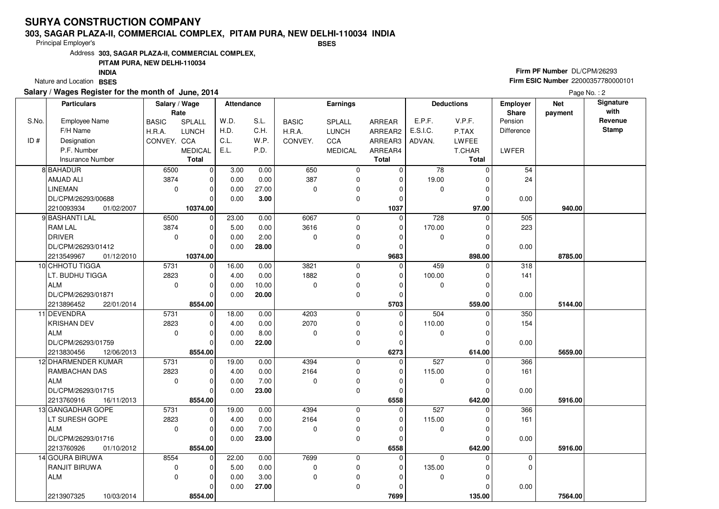#### **303, SAGAR PLAZA-II, COMMERCIAL COMPLEX, PITAM PURA, NEW DELHI-110034 INDIABSES**

Principal Employer's

Address**303, SAGAR PLAZA-II, COMMERCIAL COMPLEX,**

## **PITAM PURA, NEW DELHI-110034**

Nature and Location BSES **INDIA**

## **Salary / Wages Register for the month of June, 2014**

## **Firm PF Number** DL/CPM/26293 **Firm ESIC Number** 22000357780000101

|       | <b>Particulars</b>       | Salary / Wage<br>Rate |                | <b>Attendance</b> |       |              | <b>Earnings</b> |               |          | <b>Deductions</b> | <b>Employer</b><br>Share | <b>Net</b><br>payment | Signature<br>with |
|-------|--------------------------|-----------------------|----------------|-------------------|-------|--------------|-----------------|---------------|----------|-------------------|--------------------------|-----------------------|-------------------|
| S.No. | Employee Name            | <b>BASIC</b>          | <b>SPLALL</b>  | W.D.              | S.L.  | <b>BASIC</b> | <b>SPLALL</b>   | <b>ARREAR</b> | E.P.F.   | V.P.F.            | Pension                  |                       | Revenue           |
|       | F/H Name                 | H.R.A.                | <b>LUNCH</b>   | H.D.              | C.H.  | H.R.A.       | <b>LUNCH</b>    | ARREAR2       | E.S.I.C. | P.TAX             | Difference               |                       | <b>Stamp</b>      |
| ID#   | Designation              | CONVEY. CCA           |                | C.L.              | W.P.  | CONVEY.      | CCA             | ARREAR3       | ADVAN.   | <b>LWFEE</b>      |                          |                       |                   |
|       | P.F. Number              |                       | <b>MEDICAL</b> | E.L.              | P.D.  |              | <b>MEDICAL</b>  | ARREAR4       |          | T.CHAR            | LWFER                    |                       |                   |
|       | <b>Insurance Number</b>  |                       | <b>Total</b>   |                   |       |              |                 | <b>Total</b>  |          | Total             |                          |                       |                   |
|       | 8 BAHADUR                | 6500                  | $\mathbf 0$    | 3.00              | 0.00  | 650          | 0               | $\mathbf 0$   | 78       | $\Omega$          | 54                       |                       |                   |
|       | AMJAD ALI                | 3874                  | 0              | 0.00              | 0.00  | 387          | 0               | $\mathbf 0$   | 19.00    | $\Omega$          | 24                       |                       |                   |
|       | <b>LINEMAN</b>           | $\mathbf 0$           | 0              | 0.00              | 27.00 | 0            | 0               | $\Omega$      | 0        | $\Omega$          |                          |                       |                   |
|       | DL/CPM/26293/00688       |                       | $\Omega$       | 0.00              | 3.00  |              | 0               | $\mathbf 0$   |          | $\Omega$          | 0.00                     |                       |                   |
|       | 2210093934<br>01/02/2007 |                       | 10374.00       |                   |       |              |                 | 1037          |          | 97.00             |                          | 940.00                |                   |
|       | 9 BASHANTI LAL           | 6500                  | $\Omega$       | 23.00             | 0.00  | 6067         | $\mathbf 0$     | $\Omega$      | 728      | $\Omega$          | 505                      |                       |                   |
|       | <b>RAM LAL</b>           | 3874                  | 0              | 5.00              | 0.00  | 3616         | 0               | 0             | 170.00   | 0                 | 223                      |                       |                   |
|       | <b>DRIVER</b>            | 0                     | $\Omega$       | 0.00              | 2.00  | $\mathbf 0$  | 0               | $\Omega$      | 0        | $\Omega$          |                          |                       |                   |
|       | DL/CPM/26293/01412       |                       | $\Omega$       | 0.00              | 28.00 |              | 0               | $\mathbf 0$   |          | $\Omega$          | 0.00                     |                       |                   |
|       | 2213549967<br>01/12/2010 |                       | 10374.00       |                   |       |              |                 | 9683          |          | 898.00            |                          | 8785.00               |                   |
|       | 10 CHHOTU TIGGA          | 5731                  | $\mathbf 0$    | 16.00             | 0.00  | 3821         | 0               | $\mathbf 0$   | 459      | $\Omega$          | 318                      |                       |                   |
|       | LT. BUDHU TIGGA          | 2823                  | 0              | 4.00              | 0.00  | 1882         | 0               | $\mathbf 0$   | 100.00   | 0                 | 141                      |                       |                   |
|       | <b>ALM</b>               | 0                     | $\Omega$       | 0.00              | 10.00 | 0            | 0               | $\Omega$      | 0        | $\Omega$          |                          |                       |                   |
|       | DL/CPM/26293/01871       |                       | $\Omega$       | 0.00              | 20.00 |              | 0               | 0             |          | $\Omega$          | 0.00                     |                       |                   |
|       | 2213896452<br>22/01/2014 |                       | 8554.00        |                   |       |              |                 | 5703          |          | 559.00            |                          | 5144.00               |                   |
|       | 11 DEVENDRA              | 5731                  | $\Omega$       | 18.00             | 0.00  | 4203         | 0               | $\Omega$      | 504      | $\Omega$          | 350                      |                       |                   |
|       | <b>KRISHAN DEV</b>       | 2823                  | $\Omega$       | 4.00              | 0.00  | 2070         | 0               | 0             | 110.00   | 0                 | 154                      |                       |                   |
|       | <b>ALM</b>               | 0                     | 0              | 0.00              | 8.00  | 0            | 0               | $\Omega$      | 0        | 0                 |                          |                       |                   |
|       | DL/CPM/26293/01759       |                       | $\Omega$       | 0.00              | 22.00 |              | 0               | 0             |          | U                 | 0.00                     |                       |                   |
|       | 2213830456<br>12/06/2013 |                       | 8554.00        |                   |       |              |                 | 6273          |          | 614.00            |                          | 5659.00               |                   |
|       | 12 DHARMENDER KUMAR      | 5731                  | $\mathbf 0$    | 19.00             | 0.00  | 4394         | 0               | $\mathbf 0$   | 527      | $\Omega$          | 366                      |                       |                   |
|       | <b>RAMBACHAN DAS</b>     | 2823                  | $\Omega$       | 4.00              | 0.00  | 2164         | 0               | $\mathbf 0$   | 115.00   | 0                 | 161                      |                       |                   |
|       | <b>ALM</b>               | 0                     | $\Omega$       | 0.00              | 7.00  | $\Omega$     | 0               | 0             | 0        | $\Omega$          |                          |                       |                   |
|       | DL/CPM/26293/01715       |                       | $\Omega$       | 0.00              | 23.00 |              | $\mathbf 0$     | $\mathbf 0$   |          | O                 | 0.00                     |                       |                   |
|       | 2213760916<br>16/11/2013 |                       | 8554.00        |                   |       |              |                 | 6558          |          | 642.00            |                          | 5916.00               |                   |
|       | 13 GANGADHAR GOPE        | 5731                  | $\overline{0}$ | 19.00             | 0.00  | 4394         | 0               | $\Omega$      | 527      | $\Omega$          | 366                      |                       |                   |
|       | LT SURESH GOPE           | 2823                  | $\Omega$       | 4.00              | 0.00  | 2164         | 0               | 0             | 115.00   | 0                 | 161                      |                       |                   |
|       | <b>ALM</b>               | 0                     | $\Omega$       | 0.00              | 7.00  | $\Omega$     | 0               | $\Omega$      | 0        | $\Omega$          |                          |                       |                   |
|       | DL/CPM/26293/01716       |                       | $\Omega$       | 0.00              | 23.00 |              | $\Omega$        | $\Omega$      |          | $\Omega$          | 0.00                     |                       |                   |
|       | 2213760926<br>01/10/2012 |                       | 8554.00        |                   |       |              |                 | 6558          |          | 642.00            |                          | 5916.00               |                   |
|       | 14 GOURA BIRUWA          | 8554                  | $\mathbf 0$    | 22.00             | 0.00  | 7699         | 0               | 0             | $\Omega$ | $\Omega$          | 0                        |                       |                   |
|       | RANJIT BIRUWA            | 0                     | 0              | 5.00              | 0.00  | $\mathbf 0$  | 0               | 0             | 135.00   | $\Omega$          | $\mathbf 0$              |                       |                   |
|       | <b>ALM</b>               | $\mathbf 0$           | $\Omega$       | 0.00              | 3.00  | $\mathbf 0$  | 0               | $\mathbf 0$   | 0        | $\Omega$          |                          |                       |                   |
|       |                          |                       | $\Omega$       | 0.00              | 27.00 |              | $\mathbf 0$     | $\Omega$      |          |                   | 0.00                     |                       |                   |
|       | 2213907325<br>10/03/2014 |                       | 8554.00        |                   |       |              |                 | 7699          |          | 135.00            |                          | 7564.00               |                   |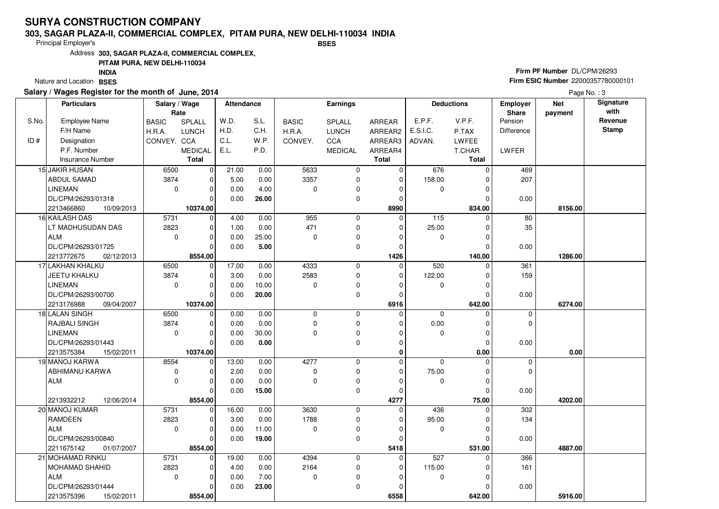#### **303, SAGAR PLAZA-II, COMMERCIAL COMPLEX, PITAM PURA, NEW DELHI-110034 INDIABSES**

Principal Employer's

Address**303, SAGAR PLAZA-II, COMMERCIAL COMPLEX,**

## **PITAM PURA, NEW DELHI-110034**

Nature and Location BSES **INDIA**

## **Salary / Wages Register for the month of June, 2014**

## **Firm PF Number** DL/CPM/26293 **Firm ESIC Number** 22000357780000101

|       | <b>Particulars</b>       | Salary / Wage<br>Rate |                | Attendance |       |              | Earnings       |               |             | <b>Deductions</b> | <b>Employer</b><br><b>Share</b> | <b>Net</b><br>payment | Signature<br>with |
|-------|--------------------------|-----------------------|----------------|------------|-------|--------------|----------------|---------------|-------------|-------------------|---------------------------------|-----------------------|-------------------|
| S.No. | Employee Name            | <b>BASIC</b>          | <b>SPLALL</b>  | W.D.       | S.L.  | <b>BASIC</b> | <b>SPLALL</b>  | <b>ARREAR</b> | E.P.F.      | V.P.F.            | Pension                         |                       | Revenue           |
|       | F/H Name                 | H.R.A.                | <b>LUNCH</b>   | H.D.       | C.H.  | H.R.A.       | <b>LUNCH</b>   | ARREAR2       | E.S.I.C.    | P.TAX             | Difference                      |                       | <b>Stamp</b>      |
| ID#   | Designation              | CONVEY. CCA           |                | C.L.       | W.P.  | CONVEY.      | CCA            | ARREAR3       | ADVAN.      | <b>LWFEE</b>      |                                 |                       |                   |
|       | P.F. Number              |                       | <b>MEDICAL</b> | E.L.       | P.D.  |              | <b>MEDICAL</b> | ARREAR4       |             | T.CHAR            | LWFER                           |                       |                   |
|       | <b>Insurance Number</b>  |                       | <b>Total</b>   |            |       |              |                | <b>Total</b>  |             | Total             |                                 |                       |                   |
|       | 15 JAKIR HUSAN           | 6500                  | $\overline{0}$ | 21.00      | 0.00  | 5633         | 0              | $\Omega$      | 676         | $\Omega$          | 469                             |                       |                   |
|       | <b>ABDUL SAMAD</b>       | 3874                  | $\overline{0}$ | 5.00       | 0.00  | 3357         | 0              | $\mathbf 0$   | 158.00      | $\Omega$          | 207                             |                       |                   |
|       | <b>LINEMAN</b>           | $\mathbf 0$           | 0              | 0.00       | 4.00  | $\mathbf 0$  | 0              | $\Omega$      | $\mathbf 0$ | $\Omega$          |                                 |                       |                   |
|       | DL/CPM/26293/01318       |                       | $\Omega$       | 0.00       | 26.00 |              | 0              | $\mathbf 0$   |             | $\Omega$          | 0.00                            |                       |                   |
|       | 2213466860<br>10/09/2013 |                       | 10374.00       |            |       |              |                | 8990          |             | 834.00            |                                 | 8156.00               |                   |
|       | 16 KAILASH DAS           | 5731                  | $\overline{0}$ | 4.00       | 0.00  | 955          | 0              | $\Omega$      | 115         | $\Omega$          | 80                              |                       |                   |
|       | LT MADHUSUDAN DAS        | 2823                  | $\overline{0}$ | 1.00       | 0.00  | 471          | 0              | $\mathbf 0$   | 25.00       | $\Omega$          | 35                              |                       |                   |
|       | <b>ALM</b>               | $\mathbf 0$           | $\Omega$       | 0.00       | 25.00 | $\Omega$     | 0              | $\Omega$      | $\mathbf 0$ | $\Omega$          |                                 |                       |                   |
|       | DL/CPM/26293/01725       |                       | $\Omega$       | 0.00       | 5.00  |              | 0              | $\mathbf 0$   |             | $\Omega$          | 0.00                            |                       |                   |
|       | 2213772675<br>02/12/2013 |                       | 8554.00        |            |       |              |                | 1426          |             | 140.00            |                                 | 1286.00               |                   |
|       | 17 LAKHAN KHALKU         | 6500                  | $\overline{0}$ | 17.00      | 0.00  | 4333         | 0              | $\mathbf 0$   | 520         | $\Omega$          | 361                             |                       |                   |
|       | JEETU KHALKU             | 3874                  | 0              | 3.00       | 0.00  | 2583         | 0              | $\Omega$      | 122.00      | $\Omega$          | 159                             |                       |                   |
|       | <b>LINEMAN</b>           | $\mathbf 0$           | $\Omega$       | 0.00       | 10.00 | $\Omega$     | 0              | $\Omega$      | $\mathbf 0$ | $\Omega$          |                                 |                       |                   |
|       | DL/CPM/26293/00700       |                       | 0              | 0.00       | 20.00 |              | 0              | $\Omega$      |             | $\Omega$          | 0.00                            |                       |                   |
|       | 2213176988<br>09/04/2007 |                       | 10374.00       |            |       |              |                | 6916          |             | 642.00            |                                 | 6274.00               |                   |
|       | 18 LALAN SINGH           | 6500                  | $\overline{0}$ | 0.00       | 0.00  | $\mathbf 0$  | 0              | $\Omega$      | $\mathbf 0$ | $\Omega$          | $\mathbf 0$                     |                       |                   |
|       | <b>RAJBALI SINGH</b>     | 3874                  | 0              | 0.00       | 0.00  | $\mathbf 0$  | 0              | $\Omega$      | 0.00        | $\Omega$          | $\mathbf 0$                     |                       |                   |
|       | <b>LINEMAN</b>           | 0                     | $\Omega$       | 0.00       | 30.00 | $\Omega$     | 0              | $\Omega$      | $\mathbf 0$ | $\Omega$          |                                 |                       |                   |
|       | DL/CPM/26293/01443       |                       | $\Omega$       | 0.00       | 0.00  |              | 0              | $\Omega$      |             | $\Omega$          | 0.00                            |                       |                   |
|       | 2213575384<br>15/02/2011 |                       | 10374.00       |            |       |              |                | $\mathbf 0$   |             | 0.00              |                                 | 0.00                  |                   |
|       | 19 MANOJ KARWA           | 8554                  | $\overline{0}$ | 13.00      | 0.00  | 4277         | 0              | $\mathbf 0$   | $\mathbf 0$ | $\Omega$          | 0                               |                       |                   |
|       | ABHIMANU KARWA           | 0                     | 0              | 2.00       | 0.00  | $\Omega$     | 0              | $\Omega$      | 75.00       | $\Omega$          | 0                               |                       |                   |
|       | <b>ALM</b>               | 0                     | $\mathbf 0$    | 0.00       | 0.00  | $\mathbf 0$  | 0              | $\Omega$      | $\mathbf 0$ | $\mathbf{0}$      |                                 |                       |                   |
|       |                          |                       | $\Omega$       | 0.00       | 15.00 |              | 0              | $\Omega$      |             | $\Omega$          | 0.00                            |                       |                   |
|       | 2213932212<br>12/06/2014 |                       | 8554.00        |            |       |              |                | 4277          |             | 75.00             |                                 | 4202.00               |                   |
|       | 20 MANOJ KUMAR           | 5731                  | $\overline{0}$ | 16.00      | 0.00  | 3630         | 0              | $\Omega$      | 436         | $\Omega$          | 302                             |                       |                   |
|       | <b>RAMDEEN</b>           | 2823                  | $\Omega$       | 3.00       | 0.00  | 1788         | 0              | $\Omega$      | 95.00       | $\Omega$          | 134                             |                       |                   |
|       | <b>ALM</b>               | 0                     | $\Omega$       | 0.00       | 11.00 | $\mathbf 0$  | 0              | $\Omega$      | 0           | 0                 |                                 |                       |                   |
|       | DL/CPM/26293/00840       |                       | $\Omega$       | 0.00       | 19.00 |              | 0              | $\Omega$      |             | $\Omega$          | 0.00                            |                       |                   |
|       | 2211675142<br>01/07/2007 |                       | 8554.00        |            |       |              |                | 5418          |             | 531.00            |                                 | 4887.00               |                   |
|       | 21 MOHAMAD RINKU         | 5731                  | $\overline{0}$ | 19.00      | 0.00  | 4394         | 0              | $\mathbf 0$   | 527         | $\Omega$          | 366                             |                       |                   |
|       | <b>MOHAMAD SHAHID</b>    | 2823                  | $\Omega$       | 4.00       | 0.00  | 2164         | 0              | $\mathbf 0$   | 115.00      | $\Omega$          | 161                             |                       |                   |
|       | <b>ALM</b>               | $\Omega$              | $\Omega$       | 0.00       | 7.00  | $\Omega$     | 0              | $\Omega$      | 0           | O                 |                                 |                       |                   |
|       | DL/CPM/26293/01444       |                       | $\Omega$       | 0.00       | 23.00 |              | 0              | 0             |             | C                 | 0.00                            |                       |                   |
|       | 2213575396<br>15/02/2011 |                       | 8554.00        |            |       |              |                | 6558          |             | 642.00            |                                 | 5916.00               |                   |
|       |                          |                       |                |            |       |              |                |               |             |                   |                                 |                       |                   |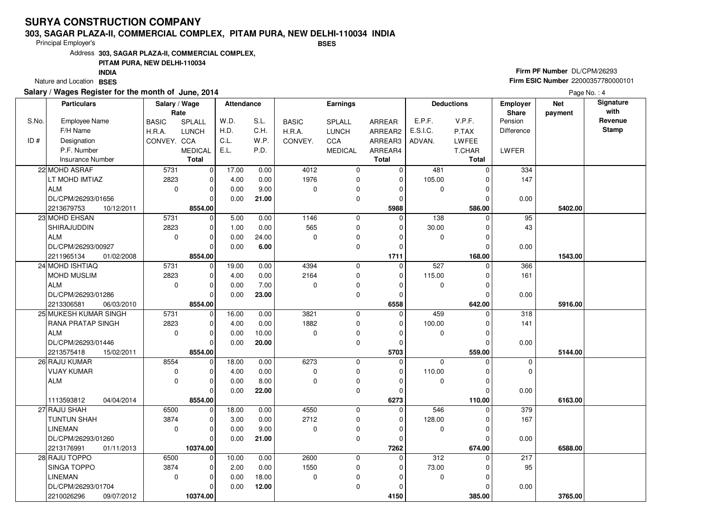#### **303, SAGAR PLAZA-II, COMMERCIAL COMPLEX, PITAM PURA, NEW DELHI-110034 INDIABSES**

Principal Employer's

Address**303, SAGAR PLAZA-II, COMMERCIAL COMPLEX,**

## **PITAM PURA, NEW DELHI-110034**

Nature and Location BSES **INDIA**

## **Salary / Wages Register for the month of June, 2014**

## **Firm PF Number** DL/CPM/26293 **Firm ESIC Number** 22000357780000101

|       | <b>Particulars</b>       | Salary / Wage |                | Attendance |       |              | Earnings       |              |             | <b>Deductions</b> | <b>Employer</b>         | <b>Net</b> | Signature<br>with |
|-------|--------------------------|---------------|----------------|------------|-------|--------------|----------------|--------------|-------------|-------------------|-------------------------|------------|-------------------|
| S.No. | Employee Name            | Rate          |                | W.D.       | S.L.  |              |                |              | E.P.F.      | V.P.F.            | <b>Share</b><br>Pension | payment    | Revenue           |
|       |                          | <b>BASIC</b>  | <b>SPLALL</b>  |            |       | <b>BASIC</b> | <b>SPLALL</b>  | ARREAR       |             |                   |                         |            | <b>Stamp</b>      |
|       | F/H Name                 | H.R.A.        | <b>LUNCH</b>   | H.D.       | C.H.  | H.R.A.       | <b>LUNCH</b>   | ARREAR2      | E.S.I.C.    | P.TAX             | Difference              |            |                   |
| ID#   | Designation              | CONVEY. CCA   |                | C.L.       | W.P.  | CONVEY.      | CCA            | ARREAR3      | ADVAN.      | <b>LWFEE</b>      |                         |            |                   |
|       | P.F. Number              |               | <b>MEDICAL</b> | E.L.       | P.D.  |              | <b>MEDICAL</b> | ARREAR4      |             | T.CHAR            | LWFER                   |            |                   |
|       | Insurance Number         |               | <b>Total</b>   |            |       |              |                | <b>Total</b> |             | <b>Total</b>      |                         |            |                   |
|       | 22 MOHD ASRAF            | 5731          | $\mathbf 0$    | 17.00      | 0.00  | 4012         | 0              | 0            | 481         | $\Omega$          | 334                     |            |                   |
|       | LT MOHD IMTIAZ           | 2823          | 0              | 4.00       | 0.00  | 1976         | 0              | $\mathbf 0$  | 105.00      | 0                 | 147                     |            |                   |
|       | <b>ALM</b>               | $\mathbf 0$   | 0              | 0.00       | 9.00  | $\Omega$     | 0              | $\Omega$     | 0           | $\Omega$          |                         |            |                   |
|       | DL/CPM/26293/01656       |               | $\Omega$       | 0.00       | 21.00 |              | 0              | $\mathbf 0$  |             | $\Omega$          | 0.00                    |            |                   |
|       | 2213679753<br>10/12/2011 |               | 8554.00        |            |       |              |                | 5988         |             | 586.00            |                         | 5402.00    |                   |
|       | 23 MOHD EHSAN            | 5731          | $\mathbf 0$    | 5.00       | 0.00  | 1146         | 0              | $\Omega$     | 138         | $\Omega$          | 95                      |            |                   |
|       | SHIRAJUDDIN              | 2823          | $\mathbf 0$    | 1.00       | 0.00  | 565          | 0              | $\Omega$     | 30.00       | 0                 | 43                      |            |                   |
|       | <b>ALM</b>               | 0             | $\mathbf 0$    | 0.00       | 24.00 | $\Omega$     | 0              | $\Omega$     | 0           |                   |                         |            |                   |
|       | DL/CPM/26293/00927       |               | $\Omega$       | 0.00       | 6.00  |              | 0              | $\Omega$     |             | $\Omega$          | 0.00                    |            |                   |
|       | 2211965134<br>01/02/2008 |               | 8554.00        |            |       |              |                | 1711         |             | 168.00            |                         | 1543.00    |                   |
|       | 24 MOHD ISHTIAQ          | 5731          | $\mathbf 0$    | 19.00      | 0.00  | 4394         | 0              | $\mathbf 0$  | 527         | $\Omega$          | 366                     |            |                   |
|       | <b>MOHD MUSLIM</b>       | 2823          | $\mathbf 0$    | 4.00       | 0.00  | 2164         | 0              | $\Omega$     | 115.00      | C                 | 161                     |            |                   |
|       | <b>ALM</b>               | $\mathbf 0$   | $\mathbf 0$    | 0.00       | 7.00  | $\Omega$     | 0              | $\mathbf 0$  | 0           | $\Omega$          |                         |            |                   |
|       | DL/CPM/26293/01286       |               | $\Omega$       | 0.00       | 23.00 |              | 0              | $\Omega$     |             | $\mathcal{C}$     | 0.00                    |            |                   |
|       | 2213306581<br>06/03/2010 |               | 8554.00        |            |       |              |                | 6558         |             | 642.00            |                         | 5916.00    |                   |
|       | 25 MUKESH KUMAR SINGH    | 5731          | $\mathbf 0$    | 16.00      | 0.00  | 3821         | 0              | $\Omega$     | 459         | $\Omega$          | 318                     |            |                   |
|       | RANA PRATAP SINGH        | 2823          | $\Omega$       | 4.00       | 0.00  | 1882         | 0              | $\Omega$     | 100.00      |                   | 141                     |            |                   |
|       | <b>ALM</b>               | $\mathbf 0$   | $\mathbf 0$    | 0.00       | 10.00 | $\mathbf 0$  | 0              | $\Omega$     | 0           | 0                 |                         |            |                   |
|       | DL/CPM/26293/01446       |               | $\Omega$       | 0.00       | 20.00 |              | 0              | $\Omega$     |             | $\sqrt{ }$        | 0.00                    |            |                   |
|       | 2213575418<br>15/02/2011 |               | 8554.00        |            |       |              |                | 5703         |             | 559.00            |                         | 5144.00    |                   |
|       | 26 RAJU KUMAR            | 8554          | $\mathbf 0$    | 18.00      | 0.00  | 6273         | 0              | $\Omega$     | $\Omega$    | $\Omega$          | $\mathbf 0$             |            |                   |
|       | <b>VIJAY KUMAR</b>       | 0             | $\Omega$       | 4.00       | 0.00  | 0            | 0              | $\Omega$     | 110.00      | $\sqrt{ }$        | $\Omega$                |            |                   |
|       | <b>ALM</b>               | $\Omega$      | $\mathbf 0$    | 0.00       | 8.00  | $\Omega$     | 0              | $\Omega$     | $\mathbf 0$ | $\Omega$          |                         |            |                   |
|       |                          |               | $\Omega$       | 0.00       | 22.00 |              | 0              | $\Omega$     |             | $\sqrt{ }$        | 0.00                    |            |                   |
|       | 1113593812<br>04/04/2014 |               | 8554.00        |            |       |              |                | 6273         |             | 110.00            |                         | 6163.00    |                   |
|       | 27 RAJU SHAH             | 6500          | $\mathbf 0$    | 18.00      | 0.00  | 4550         | 0              | $\Omega$     | 546         | $\Omega$          | 379                     |            |                   |
|       | TUNTUN SHAH              | 3874          | $\mathbf 0$    | 3.00       | 0.00  | 2712         | 0              | $\Omega$     | 128.00      | $\Omega$          | 167                     |            |                   |
|       | <b>LINEMAN</b>           | 0             | $\mathbf 0$    | 0.00       | 9.00  | $\Omega$     | 0              | $\Omega$     | 0           | $\Omega$          |                         |            |                   |
|       | DL/CPM/26293/01260       |               | $\Omega$       | 0.00       | 21.00 |              | 0              | $\Omega$     |             | $\Omega$          | 0.00                    |            |                   |
|       | 2213176991<br>01/11/2013 |               | 10374.00       |            |       |              |                | 7262         |             | 674.00            |                         | 6588.00    |                   |
|       | 28 RAJU TOPPO            | 6500          | $\Omega$       | 10.00      | 0.00  | 2600         | 0              | $\Omega$     | 312         |                   | 217                     |            |                   |
|       | <b>SINGA TOPPO</b>       | 3874          | $\mathbf 0$    | 2.00       | 0.00  | 1550         | 0              | $\Omega$     | 73.00       |                   | 95                      |            |                   |
|       | <b>LINEMAN</b>           | $\mathbf 0$   | $\mathbf 0$    | 0.00       | 18.00 | $\mathbf 0$  | 0              | $\Omega$     | $\mathbf 0$ | $\Omega$          |                         |            |                   |
|       | DL/CPM/26293/01704       |               | 0              | 0.00       | 12.00 |              | 0              | $\Omega$     |             | 0                 | 0.00                    |            |                   |
|       | 2210026296<br>09/07/2012 |               | 10374.00       |            |       |              |                | 4150         |             | 385.00            |                         | 3765.00    |                   |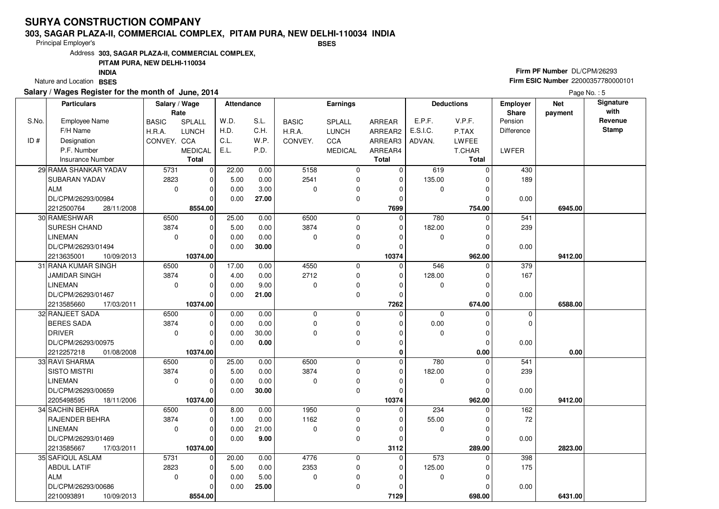#### **303, SAGAR PLAZA-II, COMMERCIAL COMPLEX, PITAM PURA, NEW DELHI-110034 INDIABSES**

Principal Employer's

Address**303, SAGAR PLAZA-II, COMMERCIAL COMPLEX,**

## **PITAM PURA, NEW DELHI-110034**

Nature and Location BSES **INDIA**

## **Salary / Wages Register for the month of June, 2014**

## **Firm PF Number** DL/CPM/26293 **Firm ESIC Number** 22000357780000101

|       | <b>Particulars</b>       | Salary / Wage<br>Rate |                | Attendance |          |              | <b>Earnings</b> |                |             | <b>Deductions</b> | Employer<br>Share | <b>Net</b><br>payment | Signature<br>with |
|-------|--------------------------|-----------------------|----------------|------------|----------|--------------|-----------------|----------------|-------------|-------------------|-------------------|-----------------------|-------------------|
| S.No. | <b>Employee Name</b>     | <b>BASIC</b>          | <b>SPLALL</b>  | W.D.       | S.L.     | <b>BASIC</b> | SPLALL          | ARREAR         | E.P.F.      | V.P.F.            | Pension           |                       | Revenue           |
|       | F/H Name                 | H.R.A.                | <b>LUNCH</b>   | H.D.       | C.H.     | H.R.A.       | <b>LUNCH</b>    | ARREAR2        | E.S.I.C.    | P.TAX             | <b>Difference</b> |                       | <b>Stamp</b>      |
| ID#   | Designation              | CONVEY. CCA           |                | C.L.       | W.P.     | CONVEY.      | <b>CCA</b>      | ARREAR3        | ADVAN.      | <b>LWFEE</b>      |                   |                       |                   |
|       | P.F. Number              |                       | <b>MEDICAL</b> | E.L.       | P.D.     |              | <b>MEDICAL</b>  | ARREAR4        |             | <b>T.CHAR</b>     | LWFER             |                       |                   |
|       | <b>Insurance Number</b>  |                       | <b>Total</b>   |            |          |              |                 | <b>Total</b>   |             | Total             |                   |                       |                   |
|       | 29 RAMA SHANKAR YADAV    | 5731                  | $\overline{0}$ | 22.00      | 0.00     | 5158         | 0               | $\mathbf 0$    | 619         | $\Omega$          | 430               |                       |                   |
|       | SUBARAN YADAV            | 2823                  | $\overline{0}$ | 5.00       | 0.00     | 2541         | 0               | $\mathbf 0$    | 135.00      | O                 | 189               |                       |                   |
|       | <b>ALM</b>               | $\mathbf 0$           | $\Omega$       | 0.00       | 3.00     | $\Omega$     | 0               | $\Omega$       | 0           | O                 |                   |                       |                   |
|       | DL/CPM/26293/00984       |                       | $\Omega$       | 0.00       | 27.00    |              | 0               | $\Omega$       |             | 0                 | 0.00              |                       |                   |
|       | 2212500764<br>28/11/2008 |                       | 8554.00        |            |          |              |                 | 7699           |             | 754.00            |                   | 6945.00               |                   |
|       | 30 RAMESHWAR             | 6500                  | $\Omega$       | 25.00      | 0.00     | 6500         | 0               | $\Omega$       | 780         | $\Omega$          | 541               |                       |                   |
|       | SURESH CHAND             | 3874                  | $\mathbf 0$    | 5.00       | 0.00     | 3874         | 0               | $\mathbf 0$    | 182.00      |                   | 239               |                       |                   |
|       | <b>LINEMAN</b>           | 0                     | $\Omega$       | 0.00       | 0.00     | $\Omega$     | 0               | $\Omega$       | $\mathbf 0$ |                   |                   |                       |                   |
|       | DL/CPM/26293/01494       |                       | $\Omega$       | 0.00       | 30.00    |              | 0               | $\Omega$       |             | O                 | 0.00              |                       |                   |
|       | 2213635001<br>10/09/2013 |                       | 10374.00       |            |          |              |                 | 10374          |             | 962.00            |                   | 9412.00               |                   |
|       | 31 RANA KUMAR SINGH      | 6500                  | $\overline{0}$ | 17.00      | 0.00     | 4550         | 0               | $\Omega$       | 546         | $\Omega$          | 379               |                       |                   |
|       | <b>JAMIDAR SINGH</b>     | 3874                  | $\Omega$       | 4.00       | 0.00     | 2712         | 0               | $\Omega$       | 128.00      | O                 | 167               |                       |                   |
|       | <b>LINEMAN</b>           | 0                     | $\mathbf 0$    | 0.00       | 9.00     | $\Omega$     | 0               | $\Omega$       | 0           | O                 |                   |                       |                   |
|       | DL/CPM/26293/01467       |                       | $\Omega$       | 0.00       | 21.00    |              | 0               | $\Omega$       |             |                   | 0.00              |                       |                   |
|       | 2213585660<br>17/03/2011 |                       | 10374.00       |            |          |              |                 | 7262           |             | 674.00            |                   | 6588.00               |                   |
|       | 32 RANJEET SADA          | 6500                  | $\overline{0}$ | 0.00       | 0.00     | 0            | 0               | $\Omega$       | $\mathbf 0$ | $\Omega$          | 0                 |                       |                   |
|       | <b>BERES SADA</b>        | 3874                  | $\Omega$       | 0.00       | 0.00     | $\Omega$     | 0               | $\Omega$       | 0.00        | $\Omega$          | $\mathbf 0$       |                       |                   |
|       | <b>DRIVER</b>            | 0                     | $\Omega$       | 0.00       | 30.00    | $\Omega$     | 0               | $\Omega$       | 0           | $\Omega$          |                   |                       |                   |
|       | DL/CPM/26293/00975       |                       | $\Omega$       | 0.00       | $0.00\,$ |              | 0               | $\Omega$       |             | $\Omega$          | 0.00              |                       |                   |
|       | 2212257218<br>01/08/2008 |                       | 10374.00       |            |          |              |                 | $\bf{0}$       |             | 0.00              |                   | 0.00                  |                   |
|       | 33 RAVI SHARMA           | 6500                  | $\mathbf 0$    | 25.00      | 0.00     | 6500         | 0               | $\Omega$       | 780         |                   | 541               |                       |                   |
|       | <b>SISTO MISTRI</b>      | 3874                  | $\Omega$       | 5.00       | 0.00     | 3874         | 0               | $\Omega$       | 182.00      |                   | 239               |                       |                   |
|       | <b>LINEMAN</b>           | 0                     | $\Omega$       | 0.00       | 0.00     | $\Omega$     | 0               | $\Omega$       | $\mathbf 0$ | $\Omega$          |                   |                       |                   |
|       | DL/CPM/26293/00659       |                       | $\Omega$       | 0.00       | 30.00    |              | 0               | $\Omega$       |             |                   | 0.00              |                       |                   |
|       | 2205498595<br>18/11/2006 |                       | 10374.00       |            |          |              |                 | 10374          |             | 962.00            |                   | 9412.00               |                   |
|       | 34 SACHIN BEHRA          | 6500                  | $\overline{0}$ | 8.00       | 0.00     | 1950         | 0               | $\overline{0}$ | 234         | $\Omega$          | 162               |                       |                   |
|       | RAJENDER BEHRA           | 3874                  | $\Omega$       | 1.00       | 0.00     | 1162         | 0               | $\Omega$       | 55.00       |                   | $72\,$            |                       |                   |
|       | <b>LINEMAN</b>           | 0                     | $\mathbf 0$    | 0.00       | 21.00    | $\Omega$     | 0               | $\Omega$       | 0           | 0                 |                   |                       |                   |
|       | DL/CPM/26293/01469       |                       | $\Omega$       | 0.00       | 9.00     |              | 0               | $\Omega$       |             | $\Omega$          | 0.00              |                       |                   |
|       | 2213585667<br>17/03/2011 |                       | 10374.00       |            |          |              |                 | 3112           |             | 289.00            |                   | 2823.00               |                   |
|       | 35 SAFIQUL ASLAM         | 5731                  | $\overline{0}$ | 20.00      | 0.00     | 4776         | 0               | $\mathbf 0$    | 573         | $\Omega$          | 398               |                       |                   |
|       | <b>ABDUL LATIF</b>       | 2823                  | $\Omega$       | 5.00       | 0.00     | 2353         | 0               | $\Omega$       | 125.00      |                   | 175               |                       |                   |
|       | <b>ALM</b>               | $\mathbf 0$           | 0              | 0.00       | 5.00     | 0            | 0               | $\Omega$       | 0           |                   |                   |                       |                   |
|       | DL/CPM/26293/00686       |                       | 0              | 0.00       | 25.00    |              | 0               | 0              |             |                   | 0.00              |                       |                   |
|       | 2210093891<br>10/09/2013 |                       | 8554.00        |            |          |              |                 | 7129           |             | 698.00            |                   | 6431.00               |                   |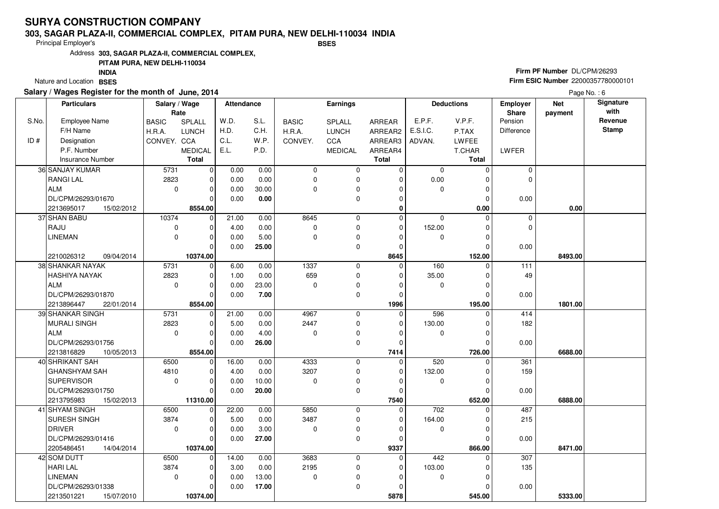#### **303, SAGAR PLAZA-II, COMMERCIAL COMPLEX, PITAM PURA, NEW DELHI-110034 INDIABSES**

Principal Employer's

Address**303, SAGAR PLAZA-II, COMMERCIAL COMPLEX,**

## **PITAM PURA, NEW DELHI-110034**

Nature and Location BSES **INDIA**

## **Salary / Wages Register for the month of June, 2014**

## **Firm PF Number** DL/CPM/26293 **Firm ESIC Number** 22000357780000101

|       | <b>Particulars</b>       | Salary / Wage<br>Rate |                | Attendance |       |              | <b>Earnings</b> |              |                  | <b>Deductions</b> | Employer<br>Share | <b>Net</b><br>payment | Signature<br>with |
|-------|--------------------------|-----------------------|----------------|------------|-------|--------------|-----------------|--------------|------------------|-------------------|-------------------|-----------------------|-------------------|
| S.No. | Employee Name            | <b>BASIC</b>          | SPLALL         | W.D.       | S.L.  | <b>BASIC</b> | SPLALL          | ARREAR       | E.P.F.           | V.P.F.            | Pension           |                       | Revenue           |
|       | F/H Name                 | H.R.A.                | <b>LUNCH</b>   | H.D.       | C.H.  | H.R.A.       | <b>LUNCH</b>    | ARREAR2      | E.S.I.C.         | P.TAX             | Difference        |                       | <b>Stamp</b>      |
| ID#   | Designation              | CONVEY. CCA           |                | C.L.       | W.P.  | CONVEY.      | <b>CCA</b>      | ARREAR3      | ADVAN.           | <b>LWFEE</b>      |                   |                       |                   |
|       | P.F. Number              |                       | <b>MEDICAL</b> | E.L.       | P.D.  |              | <b>MEDICAL</b>  | ARREAR4      |                  | T.CHAR            | LWFER             |                       |                   |
|       | Insurance Number         |                       | <b>Total</b>   |            |       |              |                 | <b>Total</b> |                  | <b>Total</b>      |                   |                       |                   |
|       | 36 SANJAY KUMAR          | 5731                  | 0              | 0.00       | 0.00  | $\mathbf 0$  | 0               | $\mathbf 0$  | $\mathbf 0$      | $\Omega$          | $\mathbf 0$       |                       |                   |
|       | <b>RANGILAL</b>          | 2823                  | 0              | 0.00       | 0.00  | $\Omega$     | 0               | 0            | 0.00             |                   | $\Omega$          |                       |                   |
|       | <b>ALM</b>               | $\mathbf 0$           | $\Omega$       | 0.00       | 30.00 | $\Omega$     | 0               | $\Omega$     | $\Omega$         | O                 |                   |                       |                   |
|       | DL/CPM/26293/01670       |                       | $\Omega$       | 0.00       | 0.00  |              | 0               | $\Omega$     |                  | 0                 | 0.00              |                       |                   |
|       | 2213695017<br>15/02/2012 |                       | 8554.00        |            |       |              |                 | $\bf{0}$     |                  | 0.00              |                   | 0.00                  |                   |
|       | 37 SHAN BABU             | 10374                 | 0              | 21.00      | 0.00  | 8645         | 0               | $\Omega$     | $\mathbf 0$      | $\Omega$          | $\mathbf 0$       |                       |                   |
|       | RAJU                     | 0                     | $\Omega$       | 4.00       | 0.00  | 0            | 0               | $\mathbf 0$  | 152.00           | $\Omega$          | $\Omega$          |                       |                   |
|       | <b>LINEMAN</b>           | 0                     | $\Omega$       | 0.00       | 5.00  | $\Omega$     | 0               | $\Omega$     | $\mathbf 0$      | O                 |                   |                       |                   |
|       |                          |                       | $\Omega$       | 0.00       | 25.00 |              | 0               | 0            |                  |                   | 0.00              |                       |                   |
|       | 09/04/2014<br>2210026312 |                       | 10374.00       |            |       |              |                 | 8645         |                  | 152.00            |                   | 8493.00               |                   |
|       | 38 SHANKAR NAYAK         | 5731                  | 0              | 6.00       | 0.00  | 1337         | 0               | $\Omega$     | 160              | O                 | 111               |                       |                   |
|       | <b>HASHIYA NAYAK</b>     | 2823                  | 0              | 1.00       | 0.00  | 659          | 0               | $\Omega$     | 35.00            |                   | 49                |                       |                   |
|       | <b>ALM</b>               | 0                     | $\mathbf 0$    | 0.00       | 23.00 | $\Omega$     | 0               | $\Omega$     | 0                | $\Omega$          |                   |                       |                   |
|       | DL/CPM/26293/01870       |                       | $\mathbf 0$    | 0.00       | 7.00  |              | 0               | $\Omega$     |                  |                   | 0.00              |                       |                   |
|       | 2213896447<br>22/01/2014 |                       | 8554.00        |            |       |              |                 | 1996         |                  | 195.00            |                   | 1801.00               |                   |
|       | 39 SHANKAR SINGH         | 5731                  | $\overline{0}$ | 21.00      | 0.00  | 4967         | 0               | $\Omega$     | 596              | $\Omega$          | 414               |                       |                   |
|       | <b>MURALI SINGH</b>      | 2823                  | $\Omega$       | 5.00       | 0.00  | 2447         | 0               | $\Omega$     | 130.00           |                   | 182               |                       |                   |
|       | <b>ALM</b>               | 0                     | $\Omega$       | 0.00       | 4.00  | $\Omega$     | 0               | $\Omega$     | 0                | ŋ                 |                   |                       |                   |
|       | DL/CPM/26293/01756       |                       | $\Omega$       | 0.00       | 26.00 |              | 0               | $\Omega$     |                  |                   | 0.00              |                       |                   |
|       | 2213816829<br>10/05/2013 |                       | 8554.00        |            |       |              |                 | 7414         |                  | 726.00            |                   | 6688.00               |                   |
|       | 40 SHRIKANT SAH          | 6500                  | $\Omega$       | 16.00      | 0.00  | 4333         | 0               | $\Omega$     | 520              |                   | 361               |                       |                   |
|       | <b>GHANSHYAM SAH</b>     | 4810                  | $\Omega$       | 4.00       | 0.00  | 3207         | 0               | $\Omega$     | 132.00           |                   | 159               |                       |                   |
|       | <b>SUPERVISOR</b>        | 0                     | $\Omega$       | 0.00       | 10.00 | $\Omega$     | 0               | $\Omega$     | $\mathbf 0$      | $\Omega$          |                   |                       |                   |
|       | DL/CPM/26293/01750       |                       | $\mathbf{0}$   | 0.00       | 20.00 |              | 0               | $\Omega$     |                  |                   | 0.00              |                       |                   |
|       | 2213795983<br>15/02/2013 |                       | 11310.00       |            |       |              |                 | 7540         |                  | 652.00            |                   | 6888.00               |                   |
|       | 41 SHYAM SINGH           | 6500                  | $\Omega$       | 22.00      | 0.00  | 5850         | 0               | $\Omega$     | $\overline{702}$ | ŋ                 | 487               |                       |                   |
|       | SURESH SINGH             | 3874                  | $\mathbf 0$    | 5.00       | 0.00  | 3487         | 0               | $\Omega$     | 164.00           | 0                 | 215               |                       |                   |
|       | <b>DRIVER</b>            | 0                     | $\Omega$       | 0.00       | 3.00  | $\Omega$     | 0               | $\Omega$     | 0                |                   |                   |                       |                   |
|       | DL/CPM/26293/01416       |                       | $\Omega$       | 0.00       | 27.00 |              | 0               | $\Omega$     |                  | ŋ                 | 0.00              |                       |                   |
|       | 2205486451<br>14/04/2014 |                       | 10374.00       |            |       |              |                 | 9337         |                  | 866.00            |                   | 8471.00               |                   |
|       | 42 SOM DUTT              | 6500                  | $\Omega$       | 14.00      | 0.00  | 3683         | 0               | $\Omega$     | 442              |                   | 307               |                       |                   |
|       | <b>HARI LAL</b>          | 3874                  | 0              | 3.00       | 0.00  | 2195         | 0               | $\Omega$     | 103.00           |                   | 135               |                       |                   |
|       | <b>LINEMAN</b>           | $\mathbf 0$           | $\Omega$       | 0.00       | 13.00 | $\mathbf 0$  | 0               | O            | $\mathbf 0$      | ŋ                 |                   |                       |                   |
|       | DL/CPM/26293/01338       |                       | 0              | 0.00       | 17.00 |              | 0               | 0            |                  |                   | 0.00              |                       |                   |
|       | 2213501221<br>15/07/2010 |                       | 10374.00       |            |       |              |                 | 5878         |                  | 545.00            |                   | 5333.00               |                   |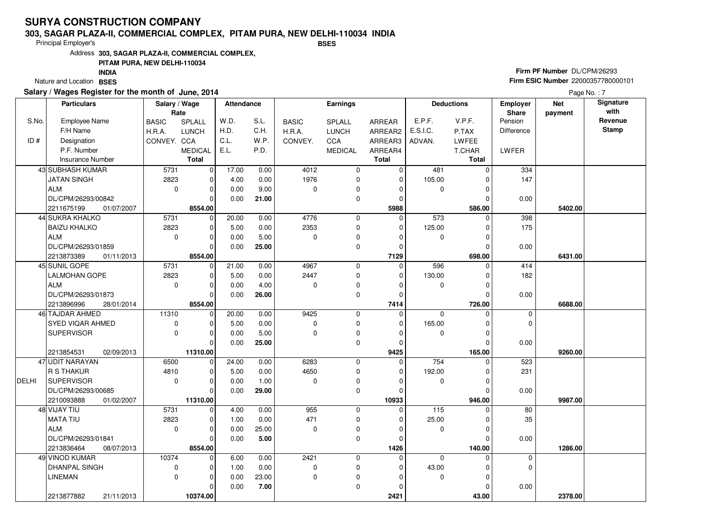#### **303, SAGAR PLAZA-II, COMMERCIAL COMPLEX, PITAM PURA, NEW DELHI-110034 INDIABSES**

Principal Employer's

Address**303, SAGAR PLAZA-II, COMMERCIAL COMPLEX,**

## **PITAM PURA, NEW DELHI-110034**

Nature and Location BSES **INDIA**

## **Salary / Wages Register for the month of June, 2014**

## **Firm PF Number** DL/CPM/26293 **Firm ESIC Number** 22000357780000101

|              | <b>Particulars</b>       | Salary / Wage |                | Attendance |       |              | Earnings       |               |              | <b>Deductions</b> | <b>Employer</b>  | <b>Net</b> | Signature       |
|--------------|--------------------------|---------------|----------------|------------|-------|--------------|----------------|---------------|--------------|-------------------|------------------|------------|-----------------|
| S.No.        | Employee Name            | Rate          |                | W.D.       | S.L.  |              |                |               | E.P.F.       | V.P.F.            | Share<br>Pension | payment    | with<br>Revenue |
|              |                          | <b>BASIC</b>  | <b>SPLALL</b>  | H.D.       | C.H.  | <b>BASIC</b> | SPLALL         | <b>ARREAR</b> | E.S.I.C.     |                   |                  |            | <b>Stamp</b>    |
|              | F/H Name                 | H.R.A.        | <b>LUNCH</b>   |            |       | H.R.A.       | <b>LUNCH</b>   | ARREAR2       |              | P.TAX             | Difference       |            |                 |
| ID#          | Designation              | CONVEY. CCA   |                | C.L.       | W.P.  | CONVEY.      | CCA            | ARREAR3       | ADVAN.       | <b>LWFEE</b>      |                  |            |                 |
|              | P.F. Number              |               | <b>MEDICAL</b> | E.L.       | P.D.  |              | <b>MEDICAL</b> | ARREAR4       |              | T.CHAR            | LWFER            |            |                 |
|              | <b>Insurance Number</b>  |               | <b>Total</b>   |            |       |              |                | <b>Total</b>  |              | <b>Total</b>      |                  |            |                 |
|              | 43 SUBHASH KUMAR         | 5731          | $\overline{0}$ | 17.00      | 0.00  | 4012         | $\mathbf 0$    | $\mathbf 0$   | 481          | $\mathbf 0$       | 334              |            |                 |
|              | <b>JATAN SINGH</b>       | 2823          | $\overline{0}$ | 4.00       | 0.00  | 1976         | $\mathbf 0$    | $\mathbf 0$   | 105.00       |                   | 147              |            |                 |
|              | <b>ALM</b>               | $\mathbf 0$   | $\Omega$       | 0.00       | 9.00  | $\mathbf 0$  | $\mathbf 0$    |               | 0            | $\Omega$          |                  |            |                 |
|              | DL/CPM/26293/00842       |               | $\Omega$       | 0.00       | 21.00 |              | $\mathbf 0$    | $\Omega$      |              |                   | 0.00             |            |                 |
|              | 01/07/2007<br>2211675199 |               | 8554.00        |            |       |              |                | 5988          |              | 586.00            |                  | 5402.00    |                 |
|              | 44 SUKRA KHALKO          | 5731          | 0              | 20.00      | 0.00  | 4776         | $\mathbf 0$    | $\mathbf 0$   | 573          | $\mathbf 0$       | 398              |            |                 |
|              | <b>BAIZU KHALKO</b>      | 2823          | $\Omega$       | 5.00       | 0.00  | 2353         | $\mathbf{0}$   | $\Omega$      | 125.00       | $\Omega$          | 175              |            |                 |
|              | <b>ALM</b>               | 0             | O              | 0.00       | 5.00  | $\mathbf 0$  | $\mathbf 0$    | $\Omega$      | 0            | $\Omega$          |                  |            |                 |
|              | DL/CPM/26293/01859       |               | $\Omega$       | 0.00       | 25.00 |              | $\mathbf 0$    | $\Omega$      |              |                   | 0.00             |            |                 |
|              | 2213873389<br>01/11/2013 |               | 8554.00        |            |       |              |                | 7129          |              | 698.00            |                  | 6431.00    |                 |
|              | 45 SUNIL GOPE            | 5731          | $\overline{0}$ | 21.00      | 0.00  | 4967         | $\mathbf 0$    | $\mathbf 0$   | 596          | 0                 | 414              |            |                 |
|              | <b>LALMOHAN GOPE</b>     | 2823          | $\Omega$       | 5.00       | 0.00  | 2447         | $\mathbf{0}$   | $\Omega$      | 130.00       | $\Omega$          | 182              |            |                 |
|              | <b>ALM</b>               | 0             | $\Omega$       | 0.00       | 4.00  | $\mathbf 0$  | $\mathbf 0$    | $\Omega$      | 0            | $\Omega$          |                  |            |                 |
|              | DL/CPM/26293/01873       |               | $\Omega$       | 0.00       | 26.00 |              | $\mathbf 0$    | $\Omega$      |              |                   | 0.00             |            |                 |
|              | 2213896996<br>28/01/2014 |               | 8554.00        |            |       |              |                | 7414          |              | 726.00            |                  | 6688.00    |                 |
|              | 46 TAJDAR AHMED          | 11310         | $\overline{0}$ | 20.00      | 0.00  | 9425         | $\mathbf 0$    | $\mathbf 0$   | $\mathbf 0$  | $\Omega$          | $\mathbf 0$      |            |                 |
|              | SYED VIQAR AHMED         | 0             | 0              | 5.00       | 0.00  | $\Omega$     | $\mathbf{0}$   | $\Omega$      | 165.00       | $\Omega$          | $\Omega$         |            |                 |
|              | <b>SUPERVISOR</b>        | $\mathbf 0$   | $\Omega$       | 0.00       | 5.00  | $\mathbf 0$  | $\mathbf 0$    | $\Omega$      | $\mathbf 0$  |                   |                  |            |                 |
|              |                          |               | $\Omega$       | 0.00       | 25.00 |              | $\Omega$       | $\Omega$      |              |                   | 0.00             |            |                 |
|              | 2213854531<br>02/09/2013 |               | 11310.00       |            |       |              |                | 9425          |              | 165.00            |                  | 9260.00    |                 |
|              | 47 UDIT NARAYAN          | 6500          | $\overline{0}$ | 24.00      | 0.00  | 6283         | $\mathbf 0$    | $\Omega$      | 754          | $\Omega$          | 523              |            |                 |
|              | <b>R S THAKUR</b>        | 4810          | $\Omega$       | 5.00       | 0.00  | 4650         | $\Omega$       | $\Omega$      | 192.00       |                   | 231              |            |                 |
| <b>DELHI</b> | <b>SUPERVISOR</b>        | $\mathbf 0$   | $\Omega$       | 0.00       | 1.00  | $\mathbf 0$  | $\mathbf 0$    |               | $\mathbf{0}$ | $\Omega$          |                  |            |                 |
|              | DL/CPM/26293/00685       |               | 0              | 0.00       | 29.00 |              | $\mathbf 0$    |               |              |                   | 0.00             |            |                 |
|              | 2210093888<br>01/02/2007 |               | 11310.00       |            |       |              |                | 10933         |              | 946.00            |                  | 9987.00    |                 |
|              | 48 VIJAY TIU             | 5731          | $\Omega$       | 4.00       | 0.00  | 955          | $\mathbf{0}$   | $\Omega$      | 115          | $\Omega$          | 80               |            |                 |
|              | <b>MATA TIU</b>          | 2823          | 0              | 1.00       | 0.00  | 471          | $\mathbf 0$    | $\Omega$      | 25.00        | $\Omega$          | 35               |            |                 |
|              | <b>ALM</b>               | $\mathbf 0$   | $\Omega$       | 0.00       | 25.00 | $\mathbf 0$  | $\mathbf 0$    | $\Omega$      | $\mathbf 0$  | $\Omega$          |                  |            |                 |
|              | DL/CPM/26293/01841       |               | <sup>0</sup>   | 0.00       | 5.00  |              | $\Omega$       | $\Omega$      |              |                   | 0.00             |            |                 |
|              | 2213836464<br>08/07/2013 |               | 8554.00        |            |       |              |                | 1426          |              | 140.00            |                  | 1286.00    |                 |
|              | 49 VINOD KUMAR           | 10374         | $\Omega$       | 6.00       | 0.00  | 2421         | $\mathbf 0$    | $\Omega$      | $\Omega$     | $\Omega$          | $\mathbf 0$      |            |                 |
|              | <b>DHANPAL SINGH</b>     | 0             | $\Omega$       | 1.00       | 0.00  | $\pmb{0}$    | $\mathbf 0$    | $\Omega$      | 43.00        | $\Omega$          | $\Omega$         |            |                 |
|              | LINEMAN                  | $\mathbf 0$   | $\Omega$       | 0.00       | 23.00 | $\mathbf 0$  | $\mathbf 0$    |               | $\mathbf 0$  | $\Omega$          |                  |            |                 |
|              |                          |               | $\Omega$       | 0.00       | 7.00  |              | $\mathbf 0$    |               |              |                   | 0.00             |            |                 |
|              | 2213877882<br>21/11/2013 |               | 10374.00       |            |       |              |                | 2421          |              | 43.00             |                  | 2378.00    |                 |